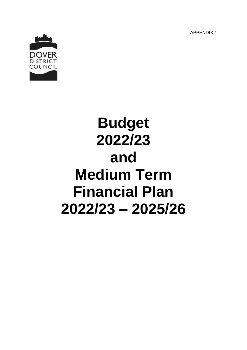APPENDIX 1



# **Budget 2022/23 and Medium Term Financial Plan 2022/23 – 2025/26**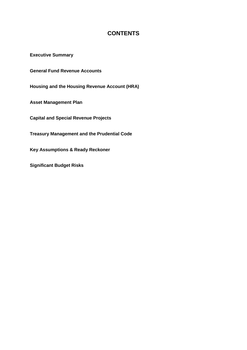# **CONTENTS**

**Executive Summary**

**General Fund Revenue Accounts**

**Housing and the Housing Revenue Account (HRA)**

**Asset Management Plan**

**Capital and Special Revenue Projects**

**Treasury Management and the Prudential Code**

**Key Assumptions & Ready Reckoner**

**Significant Budget Risks**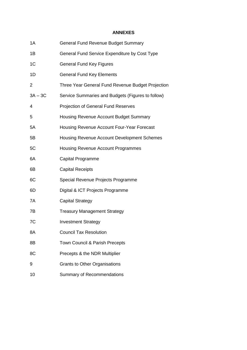## **ANNEXES**

| 1A             | <b>General Fund Revenue Budget Summary</b>        |
|----------------|---------------------------------------------------|
| 1B             | General Fund Service Expenditure by Cost Type     |
| 1 <sup>C</sup> | <b>General Fund Key Figures</b>                   |
| 1D             | <b>General Fund Key Elements</b>                  |
| 2              | Three Year General Fund Revenue Budget Projection |
| $3A - 3C$      | Service Summaries and Budgets (Figures to follow) |
| 4              | <b>Projection of General Fund Reserves</b>        |
| 5              | Housing Revenue Account Budget Summary            |
| 5A             | Housing Revenue Account Four-Year Forecast        |
| 5B             | Housing Revenue Account Development Schemes       |
| 5C             | Housing Revenue Account Programmes                |
| 6A             | Capital Programme                                 |
| 6B             | <b>Capital Receipts</b>                           |
| 6C             | Special Revenue Projects Programme                |
| 6D             | Digital & ICT Projects Programme                  |
| 7A             | <b>Capital Strategy</b>                           |
| 7B             | <b>Treasury Management Strategy</b>               |
| 7C             | <b>Investment Strategy</b>                        |
| 8A             | <b>Council Tax Resolution</b>                     |
| 8B             | Town Council & Parish Precepts                    |
| 8C             | Precepts & the NDR Multiplier                     |
| 9              | <b>Grants to Other Organisations</b>              |
| 10             | <b>Summary of Recommendations</b>                 |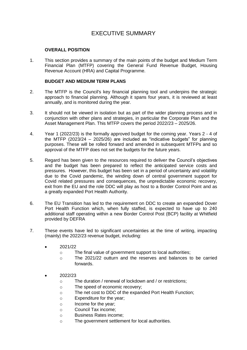# EXECUTIVE SUMMARY

## **OVERALL POSITION**

1. This section provides a summary of the main points of the budget and Medium Term Financial Plan (MTFP) covering the General Fund Revenue Budget, Housing Revenue Account (HRA) and Capital Programme.

#### **BUDGET AND MEDIUM TERM PLANS**

- 2. The MTFP is the Council's key financial planning tool and underpins the strategic approach to financial planning. Although it spans four years, it is reviewed at least annually, and is monitored during the year.
- 3. It should not be viewed in isolation but as part of the wider planning process and in conjunction with other plans and strategies, in particular the Corporate Plan and the Asset Management Plan. This MTFP covers the period 2022/23 – 2025/26.
- 4. Year 1 (2022/23) is the formally approved budget for the coming year. Years 2 4 of the MTFP (2023/24 – 2025/26) are included as "indicative budgets" for planning purposes. These will be rolled forward and amended in subsequent MTFPs and so approval of the MTFP does not set the budgets for the future years.
- 5. Regard has been given to the resources required to deliver the Council's objectives and the budget has been prepared to reflect the anticipated service costs and pressures. However, this budget has been set in a period of uncertainty and volatility due to the Covid pandemic, the winding down of central government support for Covid related pressures and consequences, the unpredictable economic recovery, exit from the EU and the role DDC will play as host to a Border Control Point and as a greatly expanded Port Health Authority.
- 6. The EU Transition has led to the requirement on DDC to create an expanded Dover Port Health Function which, when fully staffed, is expected to have up to 240 additional staff operating within a new Border Control Post (BCP) facility at Whitfield provided by DEFRA
- 7. These events have led to significant uncertainties at the time of writing, impacting (mainly) the 2022/23 revenue budget, including:
	- 2021/22
		- o The final value of government support to local authorities;
		- o The 2021/22 outturn and the reserves and balances to be carried forwards.
	- 2022/23
		- o The duration / renewal of lockdown and / or restrictions;
		- o The speed of economic recovery;
		- o The net cost to DDC of the expanded Port Health Function;
		- o Expenditure for the year;
		- o Income for the year;
		- o Council Tax income;
		- o Business Rates income;
		- o The government settlement for local authorities.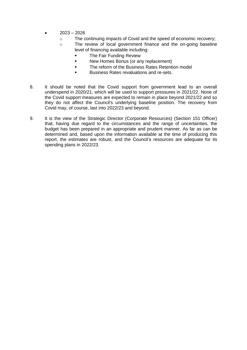- 2023 2026
	- o The continuing impacts of Covid and the speed of economic recovery;
	- o The review of local government finance and the on-going baseline level of financing available including:
		- **The Fair Funding Review**
		- **New Homes Bonus (or any replacement)**
		- **The reform of the Business Rates Retention model**
		- Business Rates revaluations and re-sets.
- 8. It should be noted that the Covid support from government lead to an overall underspend in 2020/21, which will be used to support pressures in 2021/22. None of the Covid support measures are expected to remain in place beyond 2021/22 and so they do not affect the Council's underlying baseline position. The recovery from Covid may, of course, last into 2022/23 and beyond.
- 9. It is the view of the Strategic Director (Corporate Resources) (Section 151 Officer) that, having due regard to the circumstances and the range of uncertainties, the budget has been prepared in an appropriate and prudent manner. As far as can be determined and, based upon the information available at the time of producing this report, the estimates are robust, and the Council's resources are adequate for its spending plans in 2022/23.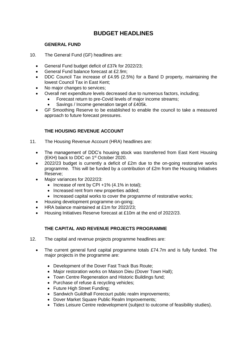# **BUDGET HEADLINES**

## **GENERAL FUND**

- 10. The General Fund (GF) headlines are:
	- General Fund budget deficit of £37k for 2022/23;
	- General Fund balance forecast at £2.9m;
	- DDC Council Tax increase of £4.95 (2.5%) for a Band D property, maintaining the lowest Council Tax in East Kent;
	- No major changes to services;
	- Overall net expenditure levels decreased due to numerous factors, including;
		- Forecast return to pre-Covid levels of major income streams;
			- Savings / Income generation target of £405k.
	- GF Smoothing Reserve to be established to enable the council to take a measured approach to future forecast pressures.

# **THE HOUSING REVENUE ACCOUNT**

- 11. The Housing Revenue Account (HRA) headlines are:
	- The management of DDC's housing stock was transferred from East Kent Housing (EKH) back to DDC on 1st October 2020.
	- 2022/23 budget is currently a deficit of £2m due to the on-going restorative works programme. This will be funded by a contribution of £2m from the Housing Initiatives Reserve;
	- Major variances for 2022/23:
		- Increase of rent by CPI +1%  $(4.1\%$  in total);
		- Increased rent from new properties added;
		- Increased capital works to cover the programme of restorative works:
		- Housing development programme on-going;
	- HRA balance maintained at £1m for 2022/23;
	- Housing Initiatives Reserve forecast at £10m at the end of 2022/23.

# **THE CAPITAL AND REVENUE PROJECTS PROGRAMME**

- 12. The capital and revenue projects programme headlines are:
	- The current general fund capital programme totals £74.7m and is fully funded. The major projects in the programme are:
		- Development of the Dover Fast Track Bus Route;
		- Major restoration works on Maison Dieu (Dover Town Hall):
		- Town Centre Regeneration and Historic Buildings fund;
		- Purchase of refuse & recycling vehicles:
		- Future High Street Funding;
		- Sandwich Guildhall Forecourt public realm improvements;
		- Dover Market Square Public Realm Improvements;
		- Tides Leisure Centre redevelopment (subject to outcome of feasibility studies).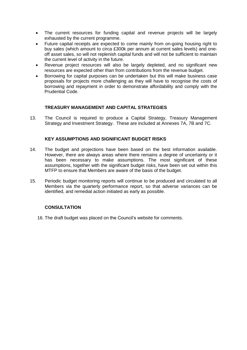- The current resources for funding capital and revenue projects will be largely exhausted by the current programme.
- Future capital receipts are expected to come mainly from on-going housing right to buy sales (which amount to circa £300k per annum at current sales levels) and oneoff asset sales, so will not replenish capital funds and will not be sufficient to maintain the current level of activity in the future.
- Revenue project resources will also be largely depleted, and no significant new resources are expected other than from contributions from the revenue budget.
- Borrowing for capital purposes can be undertaken but this will make business case proposals for projects more challenging as they will have to recognise the costs of borrowing and repayment in order to demonstrate affordability and comply with the Prudential Code.

## **TREASURY MANAGEMENT AND CAPITAL STRATEGIES**

13. The Council is required to produce a Capital Strategy, Treasury Management Strategy and Investment Strategy. These are included at Annexes 7A, 7B and 7C.

## **KEY ASSUMPTIONS AND SIGNIFICANT BUDGET RISKS**

- 14. The budget and projections have been based on the best information available. However, there are always areas where there remains a degree of uncertainty or it has been necessary to make assumptions. The most significant of these assumptions, together with the significant budget risks, have been set out within this MTFP to ensure that Members are aware of the basis of the budget.
- 15. Periodic budget monitoring reports will continue to be produced and circulated to all Members via the quarterly performance report, so that adverse variances can be identified, and remedial action initiated as early as possible.

## **CONSULTATION**

16. The draft budget was placed on the Council's website for comments.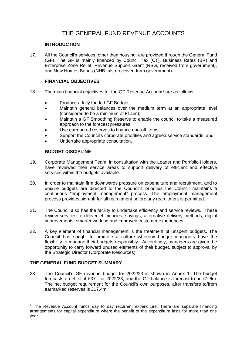# THE GENERAL FUND REVENUE ACCOUNTS

### **INTRODUCTION**

17. All the Council's services, other than housing, are provided through the General Fund (GF). The GF is mainly financed by Council Tax (CT), Business Rates (BR) and Enterprise Zone Relief, Revenue Support Grant (RSG, received from government), and New Homes Bonus (NHB, also received from government).

## **FINANCIAL OBJECTIVES**

- 18. The main financial objectives for the GF Revenue Account<sup>1</sup> are as follows:
	- Produce a fully funded GF Budget;
	- Maintain general balances over the medium term at an appropriate level (considered to be a minimum of £1.5m);
	- Maintain a GF Smoothing Reserve to enable the council to take a measured approach to the forecast pressures;
	- Use earmarked reserves to finance one-off items;
	- Support the Council's corporate priorities and agreed service standards; and
	- Undertake appropriate consultation.

# **BUDGET DISCIPLINE**

- 19. Corporate Management Team, in consultation with the Leader and Portfolio Holders, have reviewed their service areas to support delivery of efficient and effective services within the budgets available.
- 20. In order to maintain firm downwards pressure on expenditure and recruitment, and to ensure budgets are directed to the Council's priorities the Council maintains a continuous "employment management" process. The employment management process provides sign-off for all recruitment before any recruitment is permitted.
- 21. The Council also has the facility to undertake efficiency and service reviews. These review services to deliver efficiencies, savings, alternative delivery methods, digital improvements, smarter working and improved customer experiences.
- 22. A key element of financial management is the treatment of unspent budgets. The Council has sought to promote a culture whereby budget managers have the flexibility to manage their budgets responsibly. Accordingly, managers are given the opportunity to carry forward unused elements of their budget, subject to approval by the Strategic Director (Corporate Resources).

# **THE GENERAL FUND BUDGET SUMMARY**

-

23. The Council's GF revenue budget for 2022/23 is shown in Annex 1. The budget forecasts a deficit of £37k for 2022/23, and the GF balance is forecast to be £1.6m. The net budget requirement for the Council's own purposes, after transfers to/from earmarked reserves is £17.4m.

<sup>1</sup> The Revenue Account funds day to day recurrent expenditure. There are separate financing arrangements for capital expenditure where the benefit of the expenditure lasts for more than one year.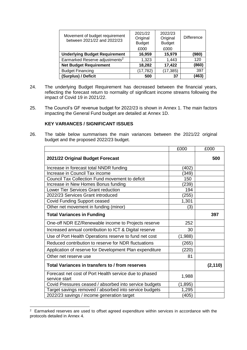| Movement of budget requirement<br>between 2021/22 and 2022/23 | 2021/22<br>Original<br><b>Budget</b> | 2022/23<br>Original<br><b>Budget</b> | <b>Difference</b> |
|---------------------------------------------------------------|--------------------------------------|--------------------------------------|-------------------|
|                                                               | £000                                 | £000                                 |                   |
| <b>Underlying Budget Requirement</b>                          | 16,959                               | 15,979                               | (980)             |
| Earmarked Reserve adjustments <sup>2</sup>                    | 1,323                                | 1,443                                | 120               |
| <b>Net Budget Requirement</b>                                 | 18,282                               | 17,422                               | (860)             |
| <b>Budget Financing</b>                                       | (17, 782)                            | (17, 385)                            | 397               |
| (Surplus) / Deficit                                           | 500                                  | 37                                   | (463              |

- 24. The underlying Budget Requirement has decreased between the financial years, reflecting the forecast return to normality of significant income streams following the impact of Covid 19 in 2021/22.
- 25. The Council's GF revenue budget for 2022/23 is shown in Annex 1. The main factors impacting the General Fund budget are detailed at Annex 1D.

#### **KEY VARIANCES / SIGNIFICANT ISSUES**

26. The table below summarises the main variances between the 2021/22 original budget and the proposed 2022/23 budget.

|                                                                         | £000    | £000     |
|-------------------------------------------------------------------------|---------|----------|
| 2021/22 Original Budget Forecast                                        |         | 500      |
| Increase in forecast total NNDR funding                                 | 402)    |          |
| Increase in Council Tax income                                          | (349)   |          |
| Council Tax Collection Fund movement to deficit                         | 150     |          |
| Increase in New Homes Bonus funding                                     | (239)   |          |
| Lower Tier Services Grant reduction                                     | 194     |          |
| 2022/23 Services Grant introduced                                       | (255)   |          |
| Covid Funding Support ceased                                            | 1,301   |          |
| Other net movement in funding (minor)                                   | (3)     |          |
| <b>Total Variances in Funding</b>                                       |         | 397      |
| One-off NDR EZ/Renewable income to Projects reserve                     | 252     |          |
| Increased annual contribution to ICT & Digital reserve                  | 30      |          |
| Use of Port Health Operations reserve to fund net cost                  | (1,988) |          |
| Reduced contribution to reserve for NDR fluctuations                    | (265)   |          |
| Application of reserve for Development Plan expenditure                 | (220)   |          |
| Other net reserve use                                                   | 81      |          |
| Total Variances in transfers to / from reserves                         |         | (2, 110) |
| Forecast net cost of Port Health service due to phased<br>service start | 1,988   |          |
| Covid Pressures ceased / absorbed into service budgets                  | (1,895) |          |
| Target savings removed / absorbed into service budgets                  | 1,295   |          |
| 2022/23 savings / income generation target                              | (405)   |          |

 $2$  Earmarked reserves are used to offset agreed expenditure within services in accordance with the protocols detailed in Annex 4.

-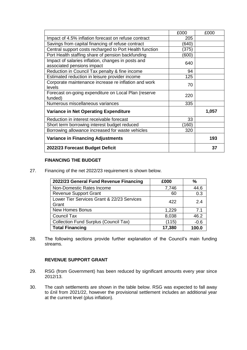|                                                         | £000  | £000  |
|---------------------------------------------------------|-------|-------|
| Impact of 4.5% inflation forecast on refuse contract    | 205   |       |
| Savings from capital financing of refuse contract       | (640) |       |
| Central support costs recharged to Port Health function | (375) |       |
| Port Health staffing share of pension backfunding       | (600) |       |
| Impact of salaries inflation, changes in posts and      | 640   |       |
| associated pensions impact                              |       |       |
| Reduction in Council Tax penalty & fine income          | 94    |       |
| Estimated reduction in leisure provider income          | 125   |       |
| Corporate maintenance increase re inflation and work    | 70    |       |
| levels                                                  |       |       |
| Forecast on-going expenditure on Local Plan (reserve    | 220   |       |
| funded)                                                 |       |       |
| Numerous miscellaneous variances                        | 335   |       |
| Variance in Net Operating Expenditure                   |       | 1,057 |
| Reduction in interest receivable forecast               | 33    |       |
| Short term borrowing interest budget reduced            | (160) |       |
| Borrowing allowance increased for waste vehicles        | 320   |       |
| <b>Variance in Financing Adjustments</b>                |       | 193   |
| 2022/23 Forecast Budget Deficit                         |       | 37    |

#### **FINANCING THE BUDGET**

27. Financing of the net 2022/23 requirement is shown below.

| 2022/23 General Fund Revenue Financing              | £000   | %      |
|-----------------------------------------------------|--------|--------|
| Non-Domestic Rates Income                           | 7,746  | 44.6   |
| <b>Revenue Support Grant</b>                        | 60     | 0.3    |
| Lower Tier Services Grant & 22/23 Services<br>Grant | 422    | 2.4    |
| <b>New Homes Bonus</b>                              | 1,229  | 7.1    |
| <b>Council Tax</b>                                  | 8,038  | 46.2   |
| <b>Collection Fund Surplus (Council Tax)</b>        | (115)  | $-0.6$ |
| <b>Total Financing</b>                              | 17,380 | 100.0  |

28. The following sections provide further explanation of the Council's main funding streams.

#### **REVENUE SUPPORT GRANT**

- 29. RSG (from Government) has been reduced by significant amounts every year since 2012/13.
- 30. The cash settlements are shown in the table below. RSG was expected to fall away to £nil from 2021/22, however the provisional settlement includes an additional year at the current level (plus inflation).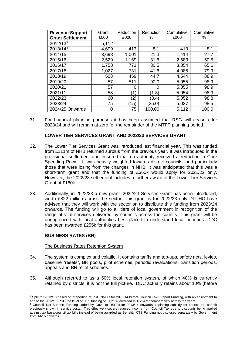| <b>Revenue Support</b><br><b>Grant Settlement</b> | Grant<br>£000 | Reduction<br>£000 | Reduction<br>% | Cumulative<br>£000 | Cumulative<br>% |
|---------------------------------------------------|---------------|-------------------|----------------|--------------------|-----------------|
|                                                   |               |                   |                |                    |                 |
| $2012/13^3$                                       | 5,112         |                   |                |                    |                 |
| 2013/144                                          | 4,699         | 413               | 8.1            | 413                | 8.1             |
| 2014/15                                           | 3,698         | 1,001             | 21.3           | 1,414              | 27.7            |
| 2015/16                                           | 2,529         | 1,169             | 31.6           | 2,583              | 50.5            |
| 2016/17                                           | 1,758         | 771               | 30.5           | 3,354              | 65.6            |
| 2017/18                                           | 1,027         | 731               | 41.6           | 4,085              | 79.9            |
| 2018/19                                           | 568           | 459               | 44.7           | 4,544              | 88.9            |
| 2019/20                                           | 57            | 511               | 90.0           | 5,055              | 98.9            |
| 2020/21                                           | 57            | 0                 | 0              | 5,055              | 98.9            |
| 2021/11                                           | 58            | ั1)               | (1.8)          | 5,054              | 98.9            |
| 2022/23                                           | 60            | (2)               | (3.4)          | 5,052              | 98.8            |
| 2023/24                                           | 75            | (15)              | (25.0)         | 5,037              | 98.5            |
| 2024/25 Onwards                                   | 0             | 75                | 100.00         | 5,112              | 100.0           |

31. For financial planning purposes it has been assumed that RSG will cease after 2023/24 and will remain at zero for the remainder of the MTFP planning period.

#### **LOWER TIER SERVICES GRANT AND 2022/23 SERVICES GRANT**

- 32. The Lower Tier Services Grant was introduced last financial year. This was funded from £111m of NHB returned surplus from the previous year. It was introduced in the provisional settlement and ensured that no authority received a reduction in Core Spending Power. It was heavily weighted towards district councils, and particularly those that were losing from the changes in NHB. It was anticipated that this was a short-term grant and that the funding of £360k would apply for 2021/22 only. However, the 2022/23 settlement includes a further award of the Lower Tier Services Grant of £160k.
- 33. Additionally, in 2022/23 a new grant, 2022/23 Services Grant has been introduced, worth £822 million across the sector. This grant is for 2022/23 only DLUHC have advised that they will work with the sector on to distribute this funding from 2023/24 onwards. The funding will go to all tiers of local government in recognition of the range of vital services delivered by councils across the country. This grant will be unringfenced with local authorities best placed to understand local priorities. DDC has been awarded £255k for this grant.

#### **BUSINESS RATES (BR)**

-

#### The Business Rates Retention System

- 34. The system is complex and volatile. It contains tariffs and top-ups, safety nets, levies, baseline "resets", BR pools, pilot schemes, periodic revaluations, transition periods, appeals and BR relief schemes.
- 35. Although referred to as a 50% local retention system, of which 40% is currently retained by districts, it is not the full picture. DDC actually retains about 10% (before

<sup>&</sup>lt;sup>3</sup> Split for 2012/13 based on proportion of RSG:NNDR for 2013/14 before Council Tax Support Funding, with an adjustment to add to the 2012/13 RSG the level of CTS funding of £1,218k awarded in 13/14 for comparability across the years.

<sup>4</sup> Council Tax Support Funding added by Govt. to RSG from 2013/14 onwards, replacing subsidy for council tax benefit previously shown in service costs. This effectively covers reduced income from Council Tax due to discounts being applied against tax base/council tax bills instead of being awarded as Benefit. CTS Funding not disclosed separately by Government from 14/15 onwards.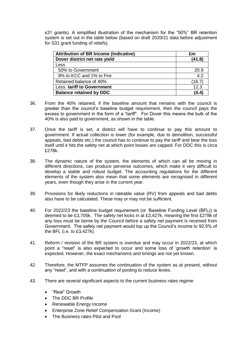s31 grants). A simplified illustration of the mechanism for the "50%" BR retention system is set out in the table below (based on draft 2020/21 data before adjustment for S31 grant funding of reliefs).

| <b>Attribution of BR Income (Indicative)</b> | £m     |
|----------------------------------------------|--------|
| Dover district net rate yield                | (41.8) |
| Less                                         |        |
| 50% to Government                            | 20.9   |
| 9% to KCC and 1% to Fire                     | 4.2    |
| Retained balance of 40%                      | (16.7) |
| Less: tariff to Government                   | 12.3   |
| <b>Balance retained by DDC</b>               | (4.4)  |

- 36. From the 40% retained, if the baseline amount that remains with the council is greater than the council's baseline budget requirement, then the council pays the excess to government in the form of a "tariff". For Dover this means the bulk of the 40% is also paid to government, as shown in the table.
- 37. Once the tariff is set, a district will have to continue to pay this amount to government. If actual collection is lower (for example, due to demolition, successful appeals, bad debts etc.) the council has to continue to pay the tariff and bear the loss itself until it hits the safety net at which point losses are capped. For DDC this is circa £278k.
- 38. The dynamic nature of the system, the elements of which can all be moving in different directions, can produce perverse outcomes, which make it very difficult to develop a stable and robust budget. The accounting regulations for the different elements of the system also mean that some elements are recognised in different years, even though they arise in the current year.
- 39. Provisions for likely reductions in rateable value (RV) from appeals and bad debts also have to be calculated. These may or may not be sufficient.
- 40. For 2022/23 the baseline budget requirement (or 'Baseline Funding Level (BFL)) is deemed to be £3,705k. The safety net kicks in at £3,427k, meaning the first £278k of any loss must be borne by the Council before a safety net payment is received from Government. The safety net payment would top up the Council's income to 92.5% of the BFL (i.e. to £3,427k).
- 41. Reform / revision of the BR system is overdue and may occur in 2022/23, at which point a "reset" is also expected to occur and some loss of 'growth retention' is expected. However, the exact mechanisms and timings are not yet known.
- 42. Therefore, the MTFP assumes the continuation of the system as at present, without any "reset", and with a continuation of pooling to reduce levies.
- 43. There are several significant aspects to the current business rates regime:
	- "Real" Growth
	- The DDC BR Profile
	- Renewable Energy Income
	- Enterprise Zone Relief Compensation Grant (Income)
	- The Business rates Pilot and Pool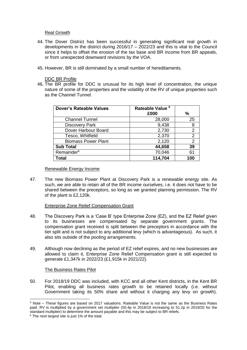#### Real Growth

- 44. The Dover District has been successful in generating significant real growth in developments in the district during 2016/17 – 2022/23 and this is vital to the Council since it helps to offset the erosion of the tax base and BR income from BR appeals, or from unexpected downward revisions by the VOA.
- 45. However, BR is still dominated by a small number of hereditaments.

#### DDC BR Profile

46. The BR profile for DDC is unusual for its high level of concentration, the unique nature of some of the properties and the volatility of the RV of unique properties such as the Channel Tunnel.

| <b>Dover's Rateable Values</b> | Rateable Value <sup>5</sup> |                |
|--------------------------------|-----------------------------|----------------|
|                                | £000                        | %              |
| <b>Channel Tunnel</b>          | 28,000                      | 25             |
| <b>Discovery Park</b>          | 9,438                       | 8              |
| Dover Harbour Board            | 2,730                       | 2              |
| Tesco, Whitfield               | 2,370                       | $\overline{2}$ |
| <b>Biomass Power Plant</b>     | 2,120                       | $\overline{2}$ |
| <b>Sub Total</b>               | 44,658                      | 39             |
| Remainder <sup>6</sup>         | 70,046                      | 61             |
| Total                          | 114,704                     | 100            |

#### Renewable Energy Income

47. The new Biomass Power Plant at Discovery Park is a renewable energy site. As such, we are able to retain all of the BR income ourselves, i.e. it does not have to be shared between the preceptors, so long as we granted planning permission. The RV of the plant is £2,120k.

#### Enterprise Zone Relief Compensation Grant

- 48. The Discovery Park is a 'Case B' type Enterprise Zone (EZ), and the EZ Relief given to its businesses are compensated by separate government grants. The compensation grant received is split between the preceptors in accordance with the tier split and is not subject to any additional levy (which is advantageous). As such, it also sits outside of the pooling arrangements.
- 49. Although now declining as the period of EZ relief expires, and no new businesses are allowed to claim it, Enterprise Zone Relief Compensation grant is still expected to generate £1,347k in 2022/23 (£1,915k in 2021/22).

#### The Business Rates Pilot

50. For 2018/19 DDC was included, with KCC and all other Kent districts, in the Kent BR Pilot, enabling all business rates growth to be retained locally (i.e. without Government taking its 50% share and without it charging any levy on growth).

-

<sup>5</sup> Note – These figures are based on 2017 valuations. Rateable Value is not the same as the Business Rates paid. RV is multiplied by a government set multiplier (50.4p in 2018/19 increasing to 51.2p in 2019/20 for the standard multiplier) to determine the amount payable and this may be subject to BR reliefs.

<sup>&</sup>lt;sup>6</sup> The next largest site is just 1% of the total.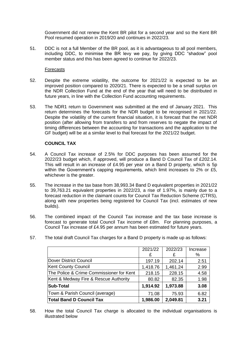Government did not renew the Kent BR pilot for a second year and so the Kent BR Pool resumed operation in 2019/20 and continues in 2022/23.

51. DDC is not a full Member of the BR pool, as it is advantageous to all pool members, including DDC, to minimise the BR levy we pay, by giving DDC "shadow" pool member status and this has been agreed to continue for 2022/23.

#### Forecasts

- 52. Despite the extreme volatility, the outcome for 2021/22 is expected to be an improved position compared to 2020/21. There is expected to be a small surplus on the NDR Collection Fund at the end of the year that will need to be distributed in future years, in line with the Collection Fund accounting requirements.
- 53. The NDR1 return to Government was submitted at the end of January 2021. This return determines the forecasts for the NDR budget to be recognised in 2021/22. Despite the volatility of the current financial situation, it is forecast that the net NDR position (after allowing from transfers to and from reserves to negate the impact of timing differences between the accounting for transactions and the application to the GF budget) will be at a similar level to that forecast for the 2021/22 budget.

## **COUNCIL TAX**

- 54. A Council Tax increase of 2.5% for DDC purposes has been assumed for the 2022/23 budget which, if approved, will produce a Band D Council Tax of £202.14. This will result in an increase of £4.95 per year on a Band D property, which is 5p within the Government's capping requirements, which limit increases to 2% or £5, whichever is the greater.
- 55. The increase in the tax base from 38,993.34 Band D equivalent properties in 2021/22 to 39,763.21 equivalent properties in 2022/23, a rise of 1.97%, is mainly due to a forecast reduction in the claimant counts for Council Tax Reduction Scheme (CTRS), along with new properties being registered for Council Tax (incl. estimates of new builds).
- 56. The combined impact of the Council Tax increase and the tax base increase is forecast to generate total Council Tax income of £8m. For planning purposes, a Council Tax increase of £4.95 per annum has been estimated for future years.
	- 2021/22 2022/23 Increase £ £ % Dover District Council **197.19 202.14** 2.51 Kent County Council  $\vert$  1,418.76 | 1,461.24 | 2.99 The Police & Crime Commissioner for Kent  $\vert$  218.15  $\vert$  228.15  $\vert$  4.58 Kent & Medway Fire & Rescue Authority  $\begin{array}{|c|c|c|c|c|c|c|c|c|} \hline \end{array}$  82.35 | 1.98 **Sub-Total 1,914.92 1,973.88 3.08** Town & Parish Council (average) | 71.08 | 75.93 | 6.82 **Total Band D Council Tax 1,986.00 2,049.81 3.21**
- 57. The total draft Council Tax charges for a Band D property is made up as follows:

58. How the total Council Tax charge is allocated to the individual organisations is illustrated below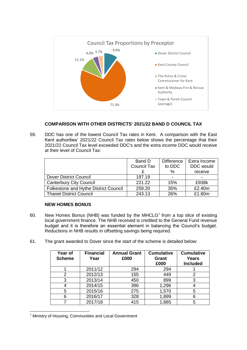

# **COMPARISON WITH OTHER DISTRICTS' 2021/22 BAND D COUNCIL TAX**

59. DDC has one of the lowest Council Tax rates in Kent. A comparison with the East Kent authorities' 2021/22 Council Tax rates below shows the percentage that their 2021/22 Council Tax level exceeded DDC's and the extra income DDC would receive at their level of Council Tax:

|                                       | Band D             | <b>Difference</b> | Extra Income |
|---------------------------------------|--------------------|-------------------|--------------|
|                                       | <b>Council Tax</b> | to DDC            | DDC would    |
|                                       |                    | $\%$              | receive      |
| <b>Dover District Council</b>         | 197.19             |                   |              |
| <b>Canterbury City Council</b>        | 221.22             | 15%               | £938k        |
| Folkestone and Hythe District Council | 259.20             | 35%               | £2.40m       |
| <b>Thanet District Council</b>        | 243.13             | 26%               | £1.80m       |

## **NEW HOMES BONUS**

- 60. New Homes Bonus (NHB) was funded by the MHCLG $<sup>7</sup>$  from a top slice of existing</sup> local government finance. The NHB received is credited to the General Fund revenue budget and it is therefore an essential element in balancing the Council's budget. Reductions in NHB results in offsetting savings being required.
- 61. The grant awarded to Dover since the start of the scheme is detailed below:

| Year of<br><b>Scheme</b> | <b>Financial</b><br>Year | <b>Annual Grant</b><br>£000 | <b>Cumulative</b><br>Grant<br>£000 | <b>Cumulative</b><br><b>Years</b><br><b>Included</b> |
|--------------------------|--------------------------|-----------------------------|------------------------------------|------------------------------------------------------|
|                          | 2011/12                  | 294                         | 294                                |                                                      |
| 2                        | 2012/13                  | 155                         | 449                                | 2                                                    |
| 3                        | 2013/14                  | 450                         | 899                                | 3                                                    |
|                          | 2014/15                  | 396                         | 1,296                              |                                                      |
| 5                        | 2015/16                  | 275                         | 1,570                              | 5                                                    |
| 6                        | 2016/17                  | 328                         | 1,899                              | 6                                                    |
|                          | 2017/18                  | 415                         | 1,865                              | 5                                                    |

<sup>-</sup><sup>7</sup> Ministry of Housing, Communities and Local Government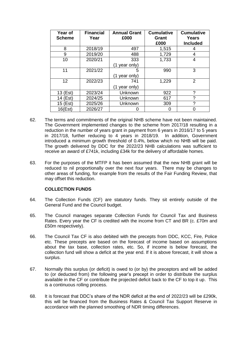| Year of<br><b>Scheme</b> | <b>Financial</b><br>Year | <b>Annual Grant</b><br>£000 | <b>Cumulative</b><br>Grant<br>£000 | <b>Cumulative</b><br>Years<br><b>Included</b> |
|--------------------------|--------------------------|-----------------------------|------------------------------------|-----------------------------------------------|
| 8                        | 2018/19                  | 497                         | 1,515                              | 4                                             |
| 9                        | 2019/20                  | 488                         | 1,729                              | 4                                             |
| 10                       | 2020/21                  | 333                         | 1,733                              | 4                                             |
|                          |                          | year only)<br>(1            |                                    |                                               |
| 11                       | 2021/22                  | 5                           | 990                                | 3                                             |
|                          |                          | year only)<br>(1            |                                    |                                               |
| 12                       | 2022/23                  | 741                         | 1,229                              | 2                                             |
|                          |                          | (1 year only)               |                                    |                                               |
| 13 (Est)                 | 2023/24                  | Unknown                     | 922                                | ?                                             |
| 14 (Est)                 | 2024/25                  | Unknown                     | 617                                | ?                                             |
| 15 (Est)                 | 2025/26                  | Unknown                     | 309                                | ?                                             |
| 16(Est)                  | 2026/27                  |                             | 0                                  | O                                             |

- 62. The terms and commitments of the original NHB scheme have not been maintained. The Government implemented changes to the scheme from 2017/18 resulting in a reduction in the number of years grant in payment from 6 years in 2016/17 to 5 years in 2017/18, further reducing to 4 years in 2018/19. In addition, Government introduced a minimum growth threshold of 0.4%, below which no NHB will be paid. The growth delivered by DDC for the 2022/23 NHB calculations was sufficient to receive an award of £741k, including £34k for the delivery of affordable homes.
- 63. For the purposes of the MTFP it has been assumed that the new NHB grant will be reduced to nil proportionally over the next four years. There may be changes to other areas of funding, for example from the results of the Fair Funding Review, that may offset this reduction.

#### **COLLECTION FUNDS**

- 64. The Collection Funds (CF) are statutory funds. They sit entirely outside of the General Fund and the Council budget.
- 65. The Council manages separate Collection Funds for Council Tax and Business Rates. Every year the CF is credited with the income from CT and BR (c. £70m and £50m respectively).
- 66. The Council Tax CF is also debited with the precepts from DDC, KCC, Fire, Police etc. These precepts are based on the forecast of income based on assumptions about the tax base, collection rates, etc. So, if income is below forecast, the collection fund will show a deficit at the year end. If it is above forecast, it will show a surplus.
- 67. Normally this surplus (or deficit) is owed to (or by) the preceptors and will be added to (or deducted from) the following year's precept in order to distribute the surplus available in the CF or contribute the projected deficit back to the CF to top it up. This is a continuous rolling process.
- 68. It is forecast that DDC's share of the NDR deficit at the end of 2022/23 will be £290k, this will be financed from the Business Rates & Council Tax Support Reserve in accordance with the planned smoothing of NDR timing differences.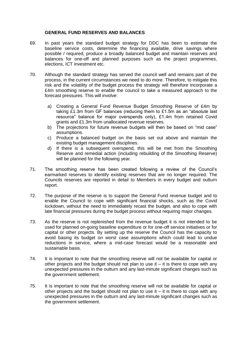#### **GENERAL FUND RESERVES AND BALANCES**

- 69. In past years the standard budget strategy for DDC has been to estimate the baseline service costs, determine the financing available, drive savings where possible / required, produce a broadly balanced budget and maintain reserves and balances for one-off and planned purposes such as the project programmes, elections, ICT investment etc.
- 70. Although the standard strategy has served the council well and remains part of the process, in the current circumstances we need to do more. Therefore, to mitigate this risk and the volatility of the budget process the strategy will therefore incorporate a £4m smoothing reserve to enable the council to take a measured approach to the forecast pressures. This will involve:
	- a) Creating a General Fund Revenue Budget Smoothing Reserve of £4m by taking £1.3m from GF balances (reducing them to £1.5m as an "absolute last resource" balance for major overspends only), £1.4m from retained Covid grants and £1.3m from unallocated revenue reserves.
	- b) The projections for future revenue budgets will then be based on "mid case" assumptions.
	- c) Produce a balanced budget on the basis set out above and maintain the existing budget management disciplines.
	- d) If there is a subsequent overspend, this will be met from the Smoothing Reserve and remedial action (including rebuilding of the Smoothing Reserve) will be planned for the following year.
- 71. The smoothing reserve has been created following a review of the Council's earmarked reserves to identify existing reserves that are no longer required. The Councils reserves are reported in detail to Members in every budget and outturn report.
- 72. The purpose of the reserve is to support the General Fund revenue budget and to enable the Council to cope with significant financial shocks, such as the Covid lockdown, without the need to immediately recast the budget, and also to cope with late financial pressures during the budget process without requiring major changes.
- 73. As the reserve is not replenished from the revenue budget it is not intended to be used for planned on-going baseline expenditure or for one-off service initiatives or for capital or other projects. By setting up the reserve the Council has the capacity to avoid basing its budget on worst case assumptions which could lead to undue reductions in service, where a mid-case forecast would be a reasonable and sustainable basis.
- 74. It is important to note that the smoothing reserve will not be available for capital or other projects and the budget should not plan to use it  $-$  it is there to cope with any unexpected pressures in the outturn and any last-minute significant changes such as the government settlement.
- 75. It is important to note that the smoothing reserve will not be available for capital or other projects and the budget should not plan to use it  $-$  it is there to cope with any unexpected pressures in the outturn and any last-minute significant changes such as the government settlement.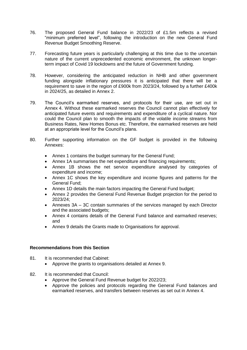- 76. The proposed General Fund balance in 2022/23 of £1.5m reflects a revised "minimum preferred level", following the introduction on the new General Fund Revenue Budget Smoothing Reserve.
- 77. Forecasting future years is particularly challenging at this time due to the uncertain nature of the current unprecedented economic environment, the unknown longerterm impact of Covid 19 lockdowns and the future of Government funding.
- 78. However, considering the anticipated reduction in NHB and other government funding alongside inflationary pressures it is anticipated that there will be a requirement to save in the region of £900k from 2023/24, followed by a further £400k in 2024/25, as detailed in Annex 2.
- 79. The Council's earmarked reserves, and protocols for their use, are set out in Annex 4. Without these earmarked reserves the Council cannot plan effectively for anticipated future events and requirements and expenditure of a cyclical nature. Nor could the Council plan to smooth the impacts of the volatile income streams from Business Rates, New Homes Bonus etc. Therefore, the earmarked reserves are held at an appropriate level for the Council's plans.
- 80. Further supporting information on the GF budget is provided in the following Annexes:
	- Annex 1 contains the budget summary for the General Fund;
	- Annex 1A summarises the net expenditure and financing requirements;
	- Annex 1B shows the net service expenditure analysed by categories of expenditure and income;
	- Annex 1C shows the key expenditure and income figures and patterns for the General Fund;
	- Annex 1D details the main factors impacting the General Fund budget;
	- Annex 2 provides the General Fund Revenue Budget projection for the period to 2023/24;
	- Annexes 3A 3C contain summaries of the services managed by each Director and the associated budgets;
	- Annex 4 contains details of the General Fund balance and earmarked reserves; and
	- Annex 9 details the Grants made to Organisations for approval.

#### **Recommendations from this Section**

- 81. It is recommended that Cabinet:
	- Approve the grants to organisations detailed at Annex 9.
- 82. It is recommended that Council:
	- Approve the General Fund Revenue budget for 2022/23;
	- Approve the policies and protocols regarding the General Fund balances and earmarked reserves, and transfers between reserves as set out in Annex 4.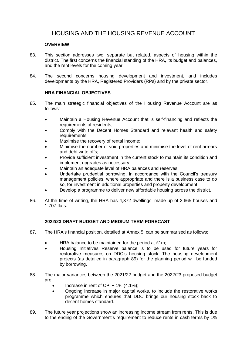# HOUSING AND THE HOUSING REVENUE ACCOUNT

#### **OVERVIEW**

- 83. This section addresses two, separate but related, aspects of housing within the district. The first concerns the financial standing of the HRA, its budget and balances, and the rent levels for the coming year.
- 84. The second concerns housing development and investment, and includes developments by the HRA, Registered Providers (RPs) and by the private sector.

## **HRA FINANCIAL OBJECTIVES**

- 85. The main strategic financial objectives of the Housing Revenue Account are as follows:
	- Maintain a Housing Revenue Account that is self-financing and reflects the requirements of residents;
	- Comply with the Decent Homes Standard and relevant health and safety requirements;
	- Maximise the recovery of rental income;
	- Minimise the number of void properties and minimise the level of rent arrears and debt write offs;
	- Provide sufficient investment in the current stock to maintain its condition and implement upgrades as necessary;
	- Maintain an adequate level of HRA balances and reserves;
	- Undertake prudential borrowing, in accordance with the Council's treasury management policies, where appropriate and there is a business case to do so, for investment in additional properties and property development;
	- Develop a programme to deliver new affordable housing across the district.
- 86. At the time of writing, the HRA has 4,372 dwellings, made up of 2,665 houses and 1,707 flats.

# **2022/23 DRAFT BUDGET AND MEDIUM TERM FORECAST**

- 87. The HRA's financial position, detailed at Annex 5, can be summarised as follows:
	- HRA balance to be maintained for the period at £1m;
	- Housing Initiatives Reserve balance is to be used for future years for restorative measures on DDC's housing stock. The housing development projects (as detailed in paragraph [89\)](#page-18-0) for the planning period will be funded by borrowing.
- 88. The major variances between the 2021/22 budget and the 2022/23 proposed budget are:
	- Increase in rent of CPI +  $1\%$  (4.1%);
	- Ongoing increase in major capital works, to include the restorative works programme which ensures that DDC brings our housing stock back to decent homes standard.
- <span id="page-18-0"></span>89. The future year projections show an increasing income stream from rents. This is due to the ending of the Government's requirement to reduce rents in cash terms by 1%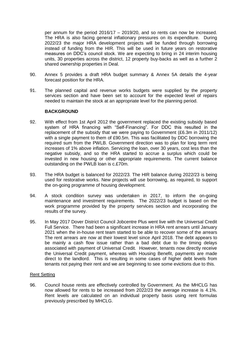per annum for the period 2016/17 – 2019/20, and so rents can now be increased. The HRA is also facing general inflationary pressures on its expenditure. During 2022/23 the major HRA development projects will be funded through borrowing instead of funding from the HIR. This will be used in future years on restorative measures on DDC's council stock. We are expecting to bring in 24 interim housing units, 30 properties across the district, 12 property buy-backs as well as a further 2 shared ownership properties in Deal.

- 90. Annex 5 provides a draft HRA budget summary & Annex 5A details the 4-year forecast position for the HRA.
- 91. The planned capital and revenue works budgets were supplied by the property services section and have been set to account for the expected level of repairs needed to maintain the stock at an appropriate level for the planning period.

#### **BACKGROUND**

- 92. With effect from 1st April 2012 the government replaced the existing subsidy based system of HRA financing with "Self-Financing". For DDC this resulted in the replacement of the subsidy that we were paying to Government (£6.3m in 2011/12) with a single payment to them of £90.5m. This was facilitated by DDC borrowing the required sum from the PWLB. Government direction was to plan for long term rent increases of 1% above inflation. Servicing the loan, over 30 years, cost less than the negative subsidy, and so the HRA started to accrue a surplus which could be invested in new housing or other appropriate requirements. The current balance outstanding on the PWLB loan is c.£70m.
- 93. The HRA budget is balanced for 2022/23. The HIR balance during 2022/23 is being used for restorative works. New projects will use borrowing, as required, to support the on-going programme of housing development.
- 94. A stock condition survey was undertaken in 2017, to inform the on-going maintenance and investment requirements. The 2022/23 budget is based on the work programme provided by the property services section and incorporating the results of the survey.
- 95. In May 2017 Dover District Council Jobcentre Plus went live with the Universal Credit Full Service. There had been a significant increase in HRA rent arrears until January 2021 when the in-house rent team started to be able to recover some of the arrears The rent arrears are now at their lowest level since April 2018. The debt appears to be mainly a cash flow issue rather than a bad debt due to the timing delays associated with payment of Universal Credit. However, tenants now directly receive the Universal Credit payment, whereas with Housing Benefit, payments are made direct to the landlord. This is resulting in some cases of higher debt levels from tenants not paying their rent and we are beginning to see some evictions due to this.

#### Rent Setting

96. Council house rents are effectively controlled by Government. As the MHCLG has now allowed for rents to be increased from 2022/23 the average increase is 4.1%. Rent levels are calculated on an individual property basis using rent formulas previously prescribed by MHCLG.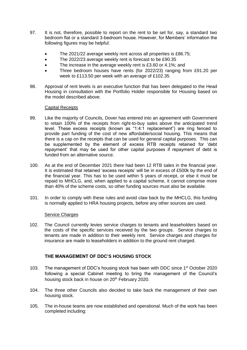- 97. It is not, therefore, possible to report on the rent to be set for, say, a standard two bedroom flat or a standard 3-bedroom house. However, for Members' information the following figures may be helpful:
	- The 2021/22 average weekly rent across all properties is £86.75;
	- The 2022/23 average weekly rent is forecast to be £90.35
	- The increase in the average weekly rent is £3.60 or 4.1%; and
	- Three bedroom houses have rents (for 2022/23) ranging from £91.20 per week to £113.50 per week with an average of £102.35
- 98. Approval of rent levels is an executive function that has been delegated to the Head Housing in consultation with the Portfolio Holder responsible for Housing based on the model described above.

#### Capital Receipts

- 99. Like the majority of Councils, Dover has entered into an agreement with Government to retain 100% of the receipts from right-to-buy sales above the anticipated trend level. These excess receipts (known as "1:4:1 replacement") are ring fenced to provide part funding of the cost of new affordable/social housing. This means that there is a cap on the receipts that can be used for general capital purposes. This can be supplemented by the element of excess RTB receipts retained for 'debt repayment' that may be used for other capital purposes if repayment of debt is funded from an alternative source.
- 100. As at the end of December 2021 there had been 12 RTB sales in the financial year. It is estimated that retained 'excess receipts' will be in excess of £500k by the end of the financial year. This has to be used within 5 years of receipt, or else it must be repaid to MHCLG, and, when applied to a capital scheme, it cannot comprise more than 40% of the scheme costs, so other funding sources must also be available.
- 101. In order to comply with these rules and avoid claw back by the MHCLG, this funding is normally applied to HRA housing projects, before any other sources are used.

#### Service Charges

102. The Council currently levies service charges to tenants and leaseholders based on the costs of the specific services received by the two groups. Service charges to tenants are made in addition to their weekly rent. Service charges and charges for insurance are made to leaseholders in addition to the ground rent charged.

#### **THE MANAGEMENT OF DDC'S HOUSING STOCK**

- 103. The management of DDC's housing stock has been with DDC since  $1<sup>st</sup>$  October 2020 following a special Cabinet meeting to bring the management of the Council's housing stock back in house on 20<sup>th</sup> February 2020.
- 104. The three other Councils also decided to take back the management of their own housing stock.
- 105. The in-house teams are now established and operational. Much of the work has been completed including: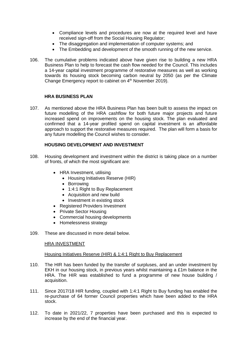- Compliance levels and procedures are now at the required level and have received sign-off from the Social Housing Regulator;
- The disaggregation and implementation of computer systems; and
- The Embedding and development of the smooth running of the new service.
- 106. The cumulative problems indicated above have given rise to building a new HRA Business Plan to help to forecast the cash flow needed for the Council. This includes a 14-year capital investment programme of restorative measures as well as working towards its housing stock becoming carbon neutral by 2050 (as per the Climate Change Emergency report to cabinet on 4<sup>th</sup> November 2019).

#### **HRA BUSINESS PLAN**

107. As mentioned above the HRA Business Plan has been built to assess the impact on future modelling of the HRA cashflow for both future major projects and future increased spend on improvements on the housing stock. The plan evaluated and confirmed that a 14-year profiled spend on capital investment is an affordable approach to support the restorative measures required. The plan will form a basis for any future modelling the Council wishes to consider.

#### **HOUSING DEVELOPMENT AND INVESTMENT**

- 108. Housing development and investment within the district is taking place on a number of fronts, of which the most significant are:
	- HRA Investment, utilising
		- Housing Initiatives Reserve (HIR)
		- Borrowing
		- 1:4:1 Right to Buy Replacement
		- Acquisition and new build
		- Investment in existing stock
	- Registered Providers Investment
	- Private Sector Housing
	- Commercial housing developments
	- Homelessness strategy
- 109. These are discussed in more detail below.

#### HRA INVESTMENT

#### Housing Initiatives Reserve (HIR) & 1:4:1 Right to Buy Replacement

- 110. The HIR has been funded by the transfer of surpluses, and an under investment by EKH in our housing stock, in previous years whilst maintaining a £1m balance in the HRA. The HIR was established to fund a programme of new house building / acquisition.
- 111. Since 2017/18 HIR funding, coupled with 1:4:1 Right to Buy funding has enabled the re-purchase of 64 former Council properties which have been added to the HRA stock.
- 112. To date in 2021/22, 7 properties have been purchased and this is expected to increase by the end of the financial year.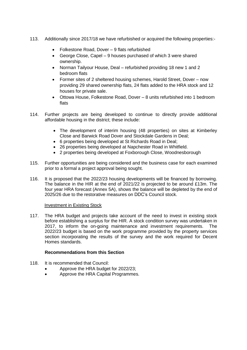- 113. Additionally since 2017/18 we have refurbished or acquired the following properties:-
	- Folkestone Road, Dover 9 flats refurbished
	- George Close, Capel 9 houses purchased of which 3 were shared ownership.
	- Norman Tailyour House, Deal refurbished providing 18 new 1 and 2 bedroom flats
	- Former sites of 2 sheltered housing schemes, Harold Street, Dover now providing 29 shared ownership flats, 24 flats added to the HRA stock and 12 houses for private sale.
	- Ottowa House, Folkestone Road, Dover 8 units refurbished into 1 bedroom flats
- 114. Further projects are being developed to continue to directly provide additional affordable housing in the district; these include:
	- The development of interim housing (48 properties) on sites at Kimberley Close and Barwick Road Dover and Stockdale Gardens in Deal;
	- 6 properties being developed at St Richards Road in Deal;
	- 26 properties being developed at Napchester Road in Whitfield.
	- 2 properties being developed at Foxborough Close, Woodnesborough
- 115. Further opportunities are being considered and the business case for each examined prior to a formal a project approval being sought.
- 116. It is proposed that the 2022/23 housing developments will be financed by borrowing. The balance in the HIR at the end of 2021/22 is projected to be around £13m. The four year HRA forecast (Annex 5A), shows the balance will be depleted by the end of 2025/26 due to the restorative measures on DDC's Council stock.

#### Investment in Existing Stock

117. The HRA budget and projects take account of the need to invest in existing stock before establishing a surplus for the HIR. A stock condition survey was undertaken in 2017, to inform the on-going maintenance and investment requirements. The 2022/23 budget is based on the work programme provided by the property services section incorporating the results of the survey and the work required for Decent Homes standards.

## **Recommendations from this Section**

- 118. It is recommended that Council:
	- Approve the HRA budget for 2022/23;
	- Approve the HRA Capital Programmes.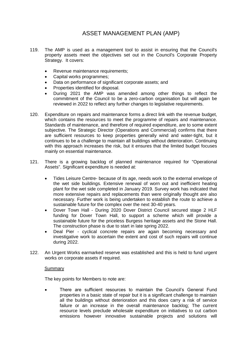# ASSET MANAGEMENT PLAN (AMP)

- 119. The AMP is used as a management tool to assist in ensuring that the Council's property assets meet the objectives set out in the Council's Corporate Property Strategy. It covers:
	- Revenue maintenance requirements;
	- Capital works programmes;
	- Data on performance of significant corporate assets; and
	- Properties identified for disposal.
	- During 2021 the AMP was amended among other things to reflect the commitment of the Council to be a zero-carbon organisation but will again be reviewed in 2022 to reflect any further changes to legislative requirements.
- 120. Expenditure on repairs and maintenance forms a direct link with the revenue budget, which contains the resources to meet the programme of repairs and maintenance. Standards of maintenance, and therefore of required expenditure, are to some extent subjective. The Strategic Director (Operations and Commercial) confirms that there are sufficient resources to keep properties generally wind and water-tight, but it continues to be a challenge to maintain all buildings without deterioration. Continuing with this approach increases the risk, but it ensures that the limited budget focuses mainly on essential maintenance.
- 121. There is a growing backlog of planned maintenance required for "Operational Assets". Significant expenditure is needed at:
	- Tides Leisure Centre- because of its age, needs work to the external envelope of the wet side buildings. Extensive renewal of worn out and inefficient heating plant for the wet side completed in January 2019. Survey work has indicated that more extensive repairs and replacements than were originally thought are also necessary. Further work is being undertaken to establish the route to achieve a sustainable future for the complex over the next 30-40 years.
	- Dover Town Hall During 2020 Dover District Council secured stage 2 HLF funding for Dover Town Hall, to support a scheme which will provide a sustainable future for the priceless Burgess heritage assets and the Stone Hall. The construction phase is due to start in late spring 2022.
	- Deal Pier cyclical concrete repairs are again becoming necessary and investigative work to ascertain the extent and cost of such repairs will continue during 2022.
- 122. An Urgent Works earmarked reserve was established and this is held to fund urgent works on corporate assets if required.

#### **Summary**

The key points for Members to note are:

 There are sufficient resources to maintain the Council's General Fund properties in a basic state of repair but it is a significant challenge to maintain all the buildings without deterioration and this does carry a risk of service failure or an increase in the overall maintenance backlog; The current resource levels preclude wholesale expenditure on initiatives to cut carbon emissions however innovative sustainable projects and solutions will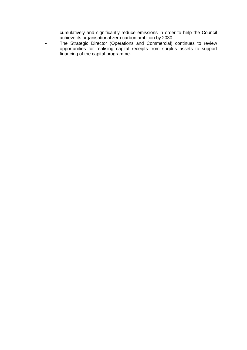cumulatively and significantly reduce emissions in order to help the Council achieve its organisational zero carbon ambition by 2030.

 The Strategic Director (Operations and Commercial) continues to review opportunities for realising capital receipts from surplus assets to support financing of the capital programme.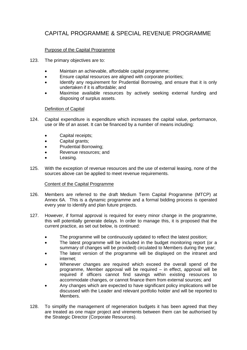# CAPITAL PROGRAMME & SPECIAL REVENUE PROGRAMME

# Purpose of the Capital Programme

- 123. The primary objectives are to:
	- Maintain an achievable, affordable capital programme;
	- Ensure capital resources are aligned with corporate priorities;
	- Identify any requirement for Prudential Borrowing, and ensure that it is only undertaken if it is affordable; and
	- Maximise available resources by actively seeking external funding and disposing of surplus assets.

#### Definition of Capital

- 124. Capital expenditure is expenditure which increases the capital value, performance, use or life of an asset. It can be financed by a number of means including:
	- Capital receipts;
	- Capital grants;
	- Prudential Borrowing;
	- Revenue resources; and
	- Leasing.
- 125. With the exception of revenue resources and the use of external leasing, none of the sources above can be applied to meet revenue requirements.

#### Content of the Capital Programme

- 126. Members are referred to the draft Medium Term Capital Programme (MTCP) at Annex 6A. This is a dynamic programme and a formal bidding process is operated every year to identify and plan future projects.
- 127. However, if formal approval is required for every minor change in the programme, this will potentially generate delays. In order to manage this, it is proposed that the current practice, as set out below, is continued:
	- The programme will be continuously updated to reflect the latest position;
	- The latest programme will be included in the budget monitoring report (or a summary of changes will be provided) circulated to Members during the year;
	- The latest version of the programme will be displayed on the intranet and internet;
	- Whenever changes are required which exceed the overall spend of the programme, Member approval will be required – in effect, approval will be required if officers cannot find savings within existing resources to accommodate changes, or cannot finance them from external sources; and
	- Any changes which are expected to have significant policy implications will be discussed with the Leader and relevant portfolio holder and will be reported to Members.
- 128. To simplify the management of regeneration budgets it has been agreed that they are treated as one major project and virements between them can be authorised by the Strategic Director (Corporate Resources).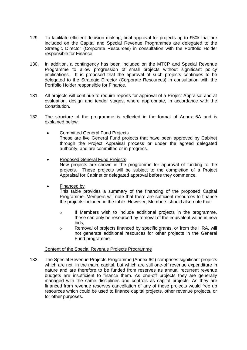- 129. To facilitate efficient decision making, final approval for projects up to £50k that are included on the Capital and Special Revenue Programmes are delegated to the Strategic Director (Corporate Resources) in consultation with the Portfolio Holder responsible for Finance.
- 130. In addition, a contingency has been included on the MTCP and Special Revenue Programme to allow progression of small projects without significant policy implications. It is proposed that the approval of such projects continues to be delegated to the Strategic Director (Corporate Resources) in consultation with the Portfolio Holder responsible for Finance.
- 131. All projects will continue to require reports for approval of a Project Appraisal and at evaluation, design and tender stages, where appropriate, in accordance with the Constitution.
- 132. The structure of the programme is reflected in the format of Annex 6A and is explained below:
	- Committed General Fund Projects These are live General Fund projects that have been approved by Cabinet through the Project Appraisal process or under the agreed delegated authority, and are committed or in progress.
	- Proposed General Fund Projects New projects are shown in the programme for approval of funding to the projects. These projects will be subject to the completion of a Project Appraisal for Cabinet or delegated approval before they commence.
	- Financed by

This table provides a summary of the financing of the proposed Capital Programme. Members will note that there are sufficient resources to finance the projects included in the table. However, Members should also note that:

- $\circ$  If Members wish to include additional projects in the programme, these can only be resourced by removal of the equivalent value in new bids;
- o Removal of projects financed by specific grants, or from the HRA, will not generate additional resources for other projects in the General Fund programme.

#### Content of the Special Revenue Projects Programme

133. The Special Revenue Projects Programme (Annex 6C) comprises significant projects which are not, in the main, capital, but which are still one-off revenue expenditure in nature and are therefore to be funded from reserves as annual recurrent revenue budgets are insufficient to finance them. As one-off projects they are generally managed with the same disciplines and controls as capital projects. As they are financed from revenue reserves cancellation of any of these projects would free up resources which could be used to finance capital projects, other revenue projects, or for other purposes.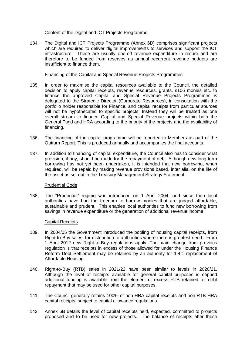#### Content of the Digital and ICT Projects Programme

134. The Digital and ICT Projects Programme (Annex 6D) comprises significant projects which are required to deliver digital improvements to services and support the ICT infrastructure. These are usually one-off revenue expenditure in nature and are therefore to be funded from reserves as annual recurrent revenue budgets are insufficient to finance them.

#### Financing of the Capital and Special Revenue Projects Programmes

- 135. In order to maximise the capital resources available to the Council, the detailed decision to apply capital receipts, revenue resources, grants, s106 monies etc. to finance the approved Capital and Special Revenue Projects Programmes is delegated to the Strategic Director (Corporate Resources), in consultation with the portfolio holder responsible for Finance, and capital receipts from particular sources will not be hypothecated to specific projects. Instead they will be treated as one overall stream to finance Capital and Special Revenue projects within both the General Fund and HRA according to the priority of the projects and the availability of financing.
- 136. The financing of the capital programme will be reported to Members as part of the Outturn Report. This is produced annually and accompanies the final accounts.
- 137. In addition to financing of capital expenditure, the Council also has to consider what provision, if any, should be made for the repayment of debt. Although new long term borrowing has not yet been undertaken, it is intended that new borrowing, when required, will be repaid by making revenue provisions based, inter alia, on the life of the asset as set out in the Treasury Management Strategy Statement.

#### Prudential Code

138. The "Prudential" regime was introduced on 1 April 2004, and since then local authorities have had the freedom to borrow monies that are judged affordable, sustainable and prudent. This enables local authorities to fund new borrowing from savings in revenue expenditure or the generation of additional revenue income.

#### Capital Receipts

- 139. In 2004/05 the Government introduced the pooling of housing capital receipts, from Right-to-Buy sales, for distribution to authorities where there is greatest need. From 1 April 2012 new Right-to-Buy regulations apply. The main change from previous regulation is that receipts in excess of those allowed for under the Housing Finance Reform Debt Settlement may be retained by an authority for 1:4:1 replacement of Affordable Housing.
- 140. Right-to-Buy (RTB) sales in 2021/22 have been similar to levels in 2020/21. Although the level of receipts available for general capital purposes is capped additional funding is available from the element of excess RTB retained for debt repayment that may be used for other capital purposes.
- 141. The Council generally retains 100% of non-HRA capital receipts and non-RTB HRA capital receipts, subject to capital allowance regulations.
- 142. Annex 6B details the level of capital receipts held, expected, committed to projects proposed and to be used for new projects. The balance of receipts after these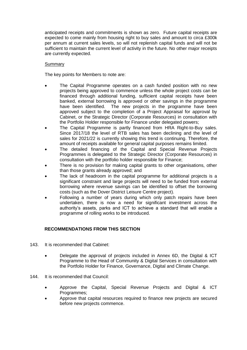anticipated receipts and commitments is shown as zero. Future capital receipts are expected to come mainly from housing right to buy sales and amount to circa £300k per annum at current sales levels, so will not replenish capital funds and will not be sufficient to maintain the current level of activity in the future. No other major receipts are currently expected.

#### Summary

The key points for Members to note are:

- The Capital Programme operates on a cash funded position with no new projects being approved to commence unless the whole project costs can be financed through additional funding, sufficient capital receipts have been banked, external borrowing is approved or other savings in the programme have been identified. The new projects in the programme have been approved subject to the completion of a Project Appraisal for approval by Cabinet, or the Strategic Director (Corporate Resources) in consultation with the Portfolio Holder responsible for Finance under delegated powers;
- The Capital Programme is partly financed from HRA Right-to-Buy sales. Since 2017/18 the level of RTB sales has been declining and the level of sales for 2021/22 is currently showing this trend is continuing. Therefore, the amount of receipts available for general capital purposes remains limited.
- The detailed financing of the Capital and Special Revenue Projects Programmes is delegated to the Strategic Director (Corporate Resources) in consultation with the portfolio holder responsible for Finance;
- There is no provision for making capital grants to other organisations, other than those grants already approved; and
- The lack of headroom in the capital programme for additional projects is a significant constraint and large projects will need to be funded from external borrowing where revenue savings can be identified to offset the borrowing costs (such as the Dover District Leisure Centre project).
- Following a number of years during which only patch repairs have been undertaken, there is now a need for significant investment across the authority's assets, parks and ICT to achieve a standard that will enable a programme of rolling works to be introduced.

#### **RECOMMENDATIONS FROM THIS SECTION**

- 143. It is recommended that Cabinet:
	- Delegate the approval of projects included in Annex 6D, the Digital & ICT Programme to the Head of Community & Digital Services in consultation with the Portfolio Holder for Finance, Governance, Digital and Climate Change.
- 144. It is recommended that Council:
	- Approve the Capital, Special Revenue Projects and Digital & ICT Programmes;
	- Approve that capital resources required to finance new projects are secured before new projects commence.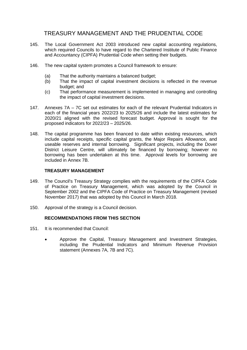# TREASURY MANAGEMENT AND THE PRUDENTIAL CODE

- 145. The Local Government Act 2003 introduced new capital accounting regulations, which required Councils to have regard to the Chartered Institute of Public Finance and Accountancy (CIPFA) Prudential Code when setting their budgets.
- 146. The new capital system promotes a Council framework to ensure:
	- (a) That the authority maintains a balanced budget;
	- (b) That the impact of capital investment decisions is reflected in the revenue budget; and
	- (c) That performance measurement is implemented in managing and controlling the impact of capital investment decisions.
- 147. Annexes 7A 7C set out estimates for each of the relevant Prudential Indicators in each of the financial years 2022/23 to 2025/26 and include the latest estimates for 2020/21 aligned with the revised forecast budget. Approval is sought for the proposed indicators for 2022/23 – 2025/26.
- 148. The capital programme has been financed to date within existing resources, which include capital receipts, specific capital grants, the Major Repairs Allowance, and useable reserves and internal borrowing. Significant projects, including the Dover District Leisure Centre, will ultimately be financed by borrowing; however no borrowing has been undertaken at this time. Approval levels for borrowing are included in Annex 7B.

#### **TREASURY MANAGEMENT**

- 149. The Council's Treasury Strategy complies with the requirements of the CIPFA Code of Practice on Treasury Management, which was adopted by the Council in September 2002 and the CIPFA Code of Practice on Treasury Management (revised November 2017) that was adopted by this Council in March 2018.
- 150. Approval of the strategy is a Council decision.

#### **RECOMMENDATIONS FROM THIS SECTION**

- 151. It is recommended that Council:
	- Approve the Capital, Treasury Management and Investment Strategies, including the Prudential Indicators and Minimum Revenue Provision statement (Annexes 7A, 7B and 7C).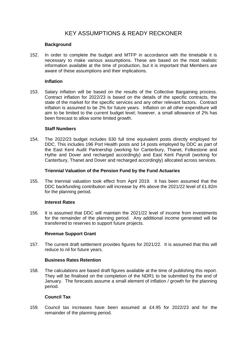# KEY ASSUMPTIONS & READY RECKONER

#### **Background**

152. In order to complete the budget and MTFP in accordance with the timetable it is necessary to make various assumptions. These are based on the most realistic information available at the time of production, but it is important that Members are aware of these assumptions and their implications.

#### **Inflation**

153. Salary inflation will be based on the results of the Collective Bargaining process. Contract inflation for 2022/23 is based on the details of the specific contracts, the state of the market for the specific services and any other relevant factors. Contract inflation is assumed to be 2% for future years. Inflation on all other expenditure will aim to be limited to the current budget level; however, a small allowance of 2% has been forecast to allow some limited growth.

#### **Staff Numbers**

154. The 2022/23 budget includes 630 full time equivalent posts directly employed for DDC. This includes 196 Port Health posts and 14 posts employed by DDC as part of the East Kent Audit Partnership (working for Canterbury, Thanet, Folkestone and Hythe and Dover and recharged accordingly) and East Kent Payroll (working for Canterbury, Thanet and Dover and recharged accordingly) allocated across services.

#### **Triennial Valuation of the Pension Fund by the Fund Actuaries**

155. The triennial valuation took effect from April 2019. It has been assumed that the DDC backfunding contribution will increase by 4% above the 2021/22 level of £1.82m for the planning period.

#### **Interest Rates**

156. It is assumed that DDC will maintain the 2021/22 level of income from investments for the remainder of the planning period. Any additional income generated will be transferred to reserves to support future projects.

#### **Revenue Support Grant**

157. The current draft settlement provides figures for 2021/22. It is assumed that this will reduce to nil for future years.

#### **Business Rates Retention**

158. The calculations are based draft figures available at the time of publishing this report. They will be finalised on the completion of the NDR1 to be submitted by the end of January. The forecasts assume a small element of inflation / growth for the planning period.

#### **Council Tax**

159. Council tax increases have been assumed at £4.95 for 2022/23 and for the remainder of the planning period.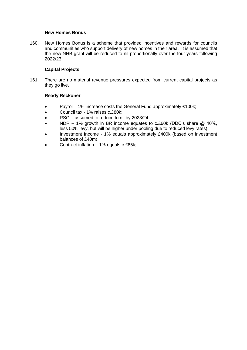#### **New Homes Bonus**

160. New Homes Bonus is a scheme that provided incentives and rewards for councils and communities who support delivery of new homes in their area. It is assumed that the new NHB grant will be reduced to nil proportionally over the four years following 2022/23.

## **Capital Projects**

161. There are no material revenue pressures expected from current capital projects as they go live.

#### **Ready Reckoner**

- Payroll 1% increase costs the General Fund approximately £100k;
- Council tax 1% raises c.£80k;
- RSG assumed to reduce to nil by 2023/24;
- NDR 1% growth in BR income equates to c.£60k (DDC's share @ 40%, less 50% levy, but will be higher under pooling due to reduced levy rates);
- Investment Income 1% equals approximately £400k (based on investment balances of £40m);
- Contract inflation 1% equals c.£65k;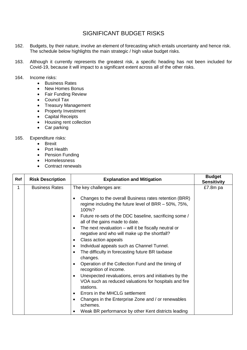# SIGNIFICANT BUDGET RISKS

- 162. Budgets, by their nature, involve an element of forecasting which entails uncertainty and hence risk. The schedule below highlights the main strategic / high value budget risks.
- 163. Although it currently represents the greatest risk, a specific heading has not been included for Covid-19, because it will impact to a significant extent across all of the other risks.

#### 164. Income risks:

- Business Rates
- New Homes Bonus
- Fair Funding Review
- Council Tax
- Treasury Management
- Property Investment
- Capital Receipts
- Housing rent collection
- Car parking

## 165. Expenditure risks:

- **•** Brexit
- Port Health
- Pension Funding
- Homelessness
- Contract renewals

| Ref | <b>Risk Description</b> | <b>Explanation and Mitigation</b>                                                                                                                                                                                                                                                                                                                                                                                                                                                  | <b>Budget</b><br><b>Sensitivity</b> |
|-----|-------------------------|------------------------------------------------------------------------------------------------------------------------------------------------------------------------------------------------------------------------------------------------------------------------------------------------------------------------------------------------------------------------------------------------------------------------------------------------------------------------------------|-------------------------------------|
| 1   | <b>Business Rates</b>   | The key challenges are:<br>Changes to the overall Business rates retention (BRR)<br>regime including the future level of BRR - 50%, 75%,<br>100%?<br>Future re-sets of the DDC baseline, sacrificing some /<br>$\bullet$<br>all of the gains made to date.<br>The next revaluation $-$ will it be fiscally neutral or<br>$\bullet$<br>negative and who will make up the shortfall?<br>Class action appeals<br>$\bullet$<br>Individual appeals such as Channel Tunnel.              | £7.8m pa                            |
|     |                         | The difficulty in forecasting future BR taxbase<br>$\bullet$<br>changes.<br>Operation of the Collection Fund and the timing of<br>recognition of income.<br>Unexpected revaluations, errors and initiatives by the<br>$\bullet$<br>VOA such as reduced valuations for hospitals and fire<br>stations.<br>Errors in the MHCLG settlement<br>٠<br>Changes in the Enterprise Zone and / or renewables<br>$\bullet$<br>schemes.<br>Weak BR performance by other Kent districts leading |                                     |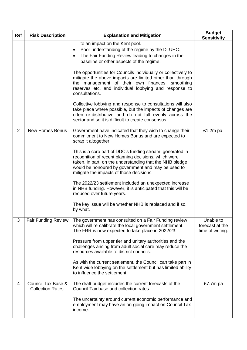| Ref            | <b>Risk Description</b>                                   | <b>Explanation and Mitigation</b>                                                                                                                                                                                                                                               | <b>Budget</b><br><b>Sensitivity</b>              |
|----------------|-----------------------------------------------------------|---------------------------------------------------------------------------------------------------------------------------------------------------------------------------------------------------------------------------------------------------------------------------------|--------------------------------------------------|
|                |                                                           | to an impact on the Kent pool.<br>Poor understanding of the regime by the DLUHC.<br>٠<br>The Fair Funding Review leading to changes in the<br>٠<br>baseline or other aspects of the regime.                                                                                     |                                                  |
|                |                                                           | The opportunities for Councils individually or collectively to<br>mitigate the above impacts are limited other than through<br>the management of their own finances, smoothing<br>reserves etc. and individual lobbying and response to<br>consultations.                       |                                                  |
|                |                                                           | Collective lobbying and response to consultations will also<br>take place where possible, but the impacts of changes are<br>often re-distributive and do not fall evenly across the<br>sector and so it is difficult to create consensus.                                       |                                                  |
| $\overline{2}$ | <b>New Homes Bonus</b>                                    | Government have indicated that they wish to change their<br>commitment to New Homes Bonus and are expected to<br>scrap it altogether.                                                                                                                                           | £1.2m pa.                                        |
|                |                                                           | This is a core part of DDC's funding stream, generated in<br>recognition of recent planning decisions, which were<br>taken, in part, on the understanding that the NHB pledge<br>would be honoured by government and may be used to<br>mitigate the impacts of those decisions. |                                                  |
|                |                                                           | The 2022/23 settlement included an unexpected increase<br>in NHB funding. However, it is anticipated that this will be<br>reduced over future years.                                                                                                                            |                                                  |
|                |                                                           | The key issue will be whether NHB is replaced and if so,<br>by what.                                                                                                                                                                                                            |                                                  |
| 3              | <b>Fair Funding Review</b>                                | The government has consulted on a Fair Funding review<br>which will re-calibrate the local government settlement.<br>The FRR is now expected to take place in 2022/23.                                                                                                          | Unable to<br>forecast at the<br>time of writing. |
|                |                                                           | Pressure from upper tier and unitary authorities and the<br>challenges arising from adult social care may reduce the<br>resources available to district councils.                                                                                                               |                                                  |
|                |                                                           | As with the current settlement, the Council can take part in<br>Kent wide lobbying on the settlement but has limited ability<br>to influence the settlement.                                                                                                                    |                                                  |
| 4              | <b>Council Tax Base &amp;</b><br><b>Collection Rates.</b> | The draft budget includes the current forecasts of the<br>Council Tax base and collection rates.                                                                                                                                                                                | £7.7m pa                                         |
|                |                                                           | The uncertainty around current economic performance and<br>employment may have an on-going impact on Council Tax<br>income.                                                                                                                                                     |                                                  |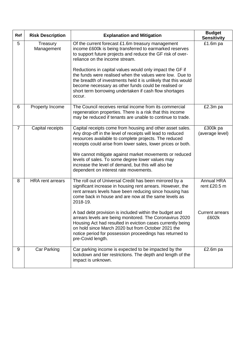| Ref            | <b>Risk Description</b> | <b>Explanation and Mitigation</b>                                                                                                                                                                                                                                                                                                                                                                                                                                                                                                                                                | <b>Budget</b><br><b>Sensitivity</b>                                  |
|----------------|-------------------------|----------------------------------------------------------------------------------------------------------------------------------------------------------------------------------------------------------------------------------------------------------------------------------------------------------------------------------------------------------------------------------------------------------------------------------------------------------------------------------------------------------------------------------------------------------------------------------|----------------------------------------------------------------------|
| 5              | Treasury<br>Management  | Of the current forecast £1.6m treasury management<br>income £600k is being transferred to earmarked reserves<br>to support future projects and reduce the GF risk of over-<br>reliance on the income stream.<br>Reductions in capital values would only impact the GF if<br>the funds were realised when the values were low. Due to<br>the breadth of investments held it is unlikely that this would<br>become necessary as other funds could be realised or<br>short term borrowing undertaken if cash flow shortages<br>occur.                                               | £1.6m pa                                                             |
| 6              | Property Income         | The Council receives rental income from its commercial<br>regeneration properties. There is a risk that this income<br>may be reduced if tenants are unable to continue to trade.                                                                                                                                                                                                                                                                                                                                                                                                | £2.3m pa                                                             |
| $\overline{7}$ | Capital receipts        | Capital receipts come from housing and other asset sales.<br>Any drop-off in the level of receipts will lead to reduced<br>resources available to complete projects. The reduced<br>receipts could arise from lower sales, lower prices or both.<br>We cannot mitigate against market movements or reduced<br>levels of sales. To some degree lower values may<br>increase the level of demand, but this will also be<br>dependent on interest rate movements.                                                                                                                   | £300k pa<br>(average level)                                          |
| 8              | <b>HRA</b> rent arrears | The roll out of Universal Credit has been mirrored by a<br>significant increase in housing rent arrears. However, the<br>rent arrears levels have been reducing since housing has<br>come back in house and are now at the same levels as<br>2018-19.<br>A bad debt provision is included within the budget and<br>arrears levels are being monitored. The Coronavirus 2020<br>Housing Act had resulted in eviction cases currently being<br>on hold since March 2020 but from October 2021 the<br>notice period for possession proceedings has returned to<br>pre-Covid length. | <b>Annual HRA</b><br>rent £20.5 m<br><b>Current arrears</b><br>£602k |
| 9              | Car Parking             | Car parking income is expected to be impacted by the<br>lockdown and tier restrictions. The depth and length of the<br>impact is unknown.                                                                                                                                                                                                                                                                                                                                                                                                                                        | £2.6 $m$ pa                                                          |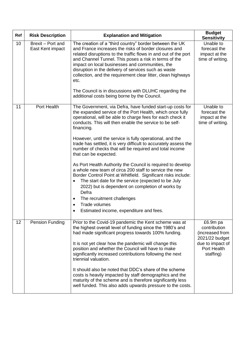| Ref | <b>Risk Description</b>               | <b>Explanation and Mitigation</b>                                                                                                                                                                                                                                                                                                                                                                                                                                                                                                         | <b>Budget</b><br><b>Sensitivity</b>                            |
|-----|---------------------------------------|-------------------------------------------------------------------------------------------------------------------------------------------------------------------------------------------------------------------------------------------------------------------------------------------------------------------------------------------------------------------------------------------------------------------------------------------------------------------------------------------------------------------------------------------|----------------------------------------------------------------|
| 10  | Brexit - Port and<br>East Kent impact | The creation of a "third country" border between the UK<br>and France increases the risks of border closures and<br>related disruptions to the traffic flows in and out of the port<br>and Channel Tunnel. This poses a risk in terms of the<br>impact on local businesses and communities, the<br>disruption in the delivery of services such as waste<br>collection, and the requirement clear litter, clean highways<br>etc.<br>The Council is in discussions with DLUHC regarding the<br>additional costs being borne by the Council. | Unable to<br>forecast the<br>impact at the<br>time of writing. |
| 11  | Port Health                           |                                                                                                                                                                                                                                                                                                                                                                                                                                                                                                                                           | Unable to                                                      |
|     |                                       | The Government, via Defra, have funded start-up costs for<br>the expanded service of the Port Health, which once fully<br>operational, will be able to charge fees for each check it<br>conducts. This will then enable the service to be self-<br>financing.                                                                                                                                                                                                                                                                             | forecast the<br>impact at the<br>time of writing.              |
|     |                                       | However, until the service is fully operational, and the<br>trade has settled, it is very difficult to accurately assess the<br>number of checks that will be required and total income<br>that can be expected.                                                                                                                                                                                                                                                                                                                          |                                                                |
|     |                                       | As Port Health Authority the Council is required to develop<br>a whole new team of circa 200 staff to service the new<br>Border Control Point at Whitfield. Significant risks include:<br>The start date for the service (expected to be July<br>٠<br>2022) but is dependent on completion of works by<br>Defra                                                                                                                                                                                                                           |                                                                |
|     |                                       | The recruitment challenges<br>٠<br><b>Trade volumes</b>                                                                                                                                                                                                                                                                                                                                                                                                                                                                                   |                                                                |
|     |                                       | $\bullet$<br>Estimated income, expenditure and fees.                                                                                                                                                                                                                                                                                                                                                                                                                                                                                      |                                                                |
| 12  | Pension Funding                       | Prior to the Covid-19 pandemic the Kent scheme was at<br>the highest overall level of funding since the 1980's and<br>had made significant progress towards 100% funding.                                                                                                                                                                                                                                                                                                                                                                 | £6.9m pa<br>contribution<br>(increased from<br>2021/22 budget  |
|     |                                       | It is not yet clear how the pandemic will change this<br>position and whether the Council will have to make<br>significantly increased contributions following the next<br>triennial valuation.                                                                                                                                                                                                                                                                                                                                           | due to impact of<br>Port Health<br>staffing)                   |
|     |                                       | It should also be noted that DDC's share of the scheme<br>costs is heavily impacted by staff demographics and the<br>maturity of the scheme and is therefore significantly less<br>well funded. This also adds upwards pressure to the costs.                                                                                                                                                                                                                                                                                             |                                                                |